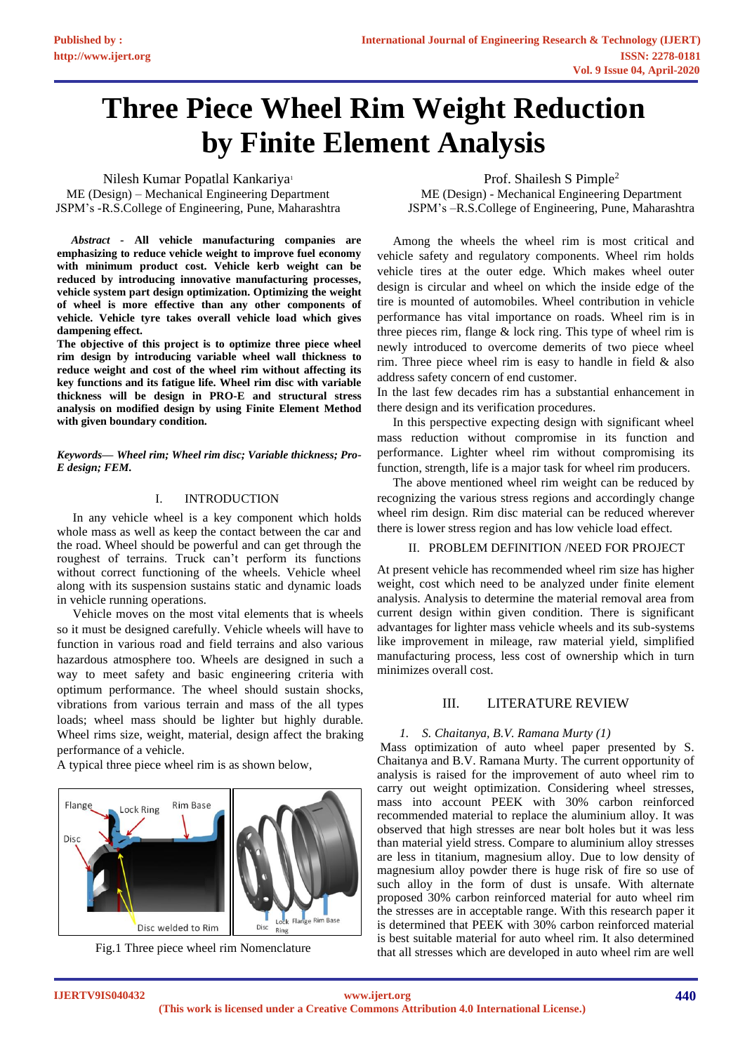# **Three Piece Wheel Rim Weight Reduction by Finite Element Analysis**

Nilesh Kumar Popatlal Kankariya<sup>1</sup> ME (Design) – Mechanical Engineering Department JSPM's -R.S.College of Engineering, Pune, Maharashtra

 *Abstract -* **All vehicle manufacturing companies are emphasizing to reduce vehicle weight to improve fuel economy with minimum product cost. Vehicle kerb weight can be reduced by introducing innovative manufacturing processes, vehicle system part design optimization. Optimizing the weight of wheel is more effective than any other components of vehicle. Vehicle tyre takes overall vehicle load which gives dampening effect.** 

**The objective of this project is to optimize three piece wheel rim design by introducing variable wheel wall thickness to reduce weight and cost of the wheel rim without affecting its key functions and its fatigue life. Wheel rim disc with variable thickness will be design in PRO-E and structural stress analysis on modified design by using Finite Element Method with given boundary condition.**

*Keywords— Wheel rim; Wheel rim disc; Variable thickness; Pro-E design; FEM.*

## I. INTRODUCTION

 In any vehicle wheel is a key component which holds whole mass as well as keep the contact between the car and the road. Wheel should be powerful and can get through the roughest of terrains. Truck can't perform its functions without correct functioning of the wheels. Vehicle wheel along with its suspension sustains static and dynamic loads in vehicle running operations.

 Vehicle moves on the most vital elements that is wheels so it must be designed carefully. Vehicle wheels will have to function in various road and field terrains and also various hazardous atmosphere too. Wheels are designed in such a way to meet safety and basic engineering criteria with optimum performance. The wheel should sustain shocks, vibrations from various terrain and mass of the all types loads; wheel mass should be lighter but highly durable. Wheel rims size, weight, material, design affect the braking performance of a vehicle.

A typical three piece wheel rim is as shown below,





Prof. Shailesh S Pimple<sup>2</sup> ME (Design) - Mechanical Engineering Department JSPM's –R.S.College of Engineering, Pune, Maharashtra

Among the wheels the wheel rim is most critical and vehicle safety and regulatory components. Wheel rim holds vehicle tires at the outer edge. Which makes wheel outer design is circular and wheel on which the inside edge of the tire is mounted of automobiles. Wheel contribution in vehicle performance has vital importance on roads. Wheel rim is in three pieces rim, flange & lock ring. This type of wheel rim is newly introduced to overcome demerits of two piece wheel rim. Three piece wheel rim is easy to handle in field  $\&$  also address safety concern of end customer.

In the last few decades rim has a substantial enhancement in there design and its verification procedures.

 In this perspective expecting design with significant wheel mass reduction without compromise in its function and performance. Lighter wheel rim without compromising its function, strength, life is a major task for wheel rim producers.

 The above mentioned wheel rim weight can be reduced by recognizing the various stress regions and accordingly change wheel rim design. Rim disc material can be reduced wherever there is lower stress region and has low vehicle load effect.

# II. PROBLEM DEFINITION /NEED FOR PROJECT

At present vehicle has recommended wheel rim size has higher weight, cost which need to be analyzed under finite element analysis. Analysis to determine the material removal area from current design within given condition. There is significant advantages for lighter mass vehicle wheels and its sub-systems like improvement in mileage, raw material yield, simplified manufacturing process, less cost of ownership which in turn minimizes overall cost.

# III. LITERATURE REVIEW

#### *1. S. Chaitanya, B.V. Ramana Murty (1)*

Mass optimization of auto wheel paper presented by S. Chaitanya and B.V. Ramana Murty. The current opportunity of analysis is raised for the improvement of auto wheel rim to carry out weight optimization. Considering wheel stresses, mass into account PEEK with 30% carbon reinforced recommended material to replace the aluminium alloy. It was observed that high stresses are near bolt holes but it was less than material yield stress. Compare to aluminium alloy stresses are less in titanium, magnesium alloy. Due to low density of magnesium alloy powder there is huge risk of fire so use of such alloy in the form of dust is unsafe. With alternate proposed 30% carbon reinforced material for auto wheel rim the stresses are in acceptable range. With this research paper it is determined that PEEK with 30% carbon reinforced material is best suitable material for auto wheel rim. It also determined that all stresses which are developed in auto wheel rim are well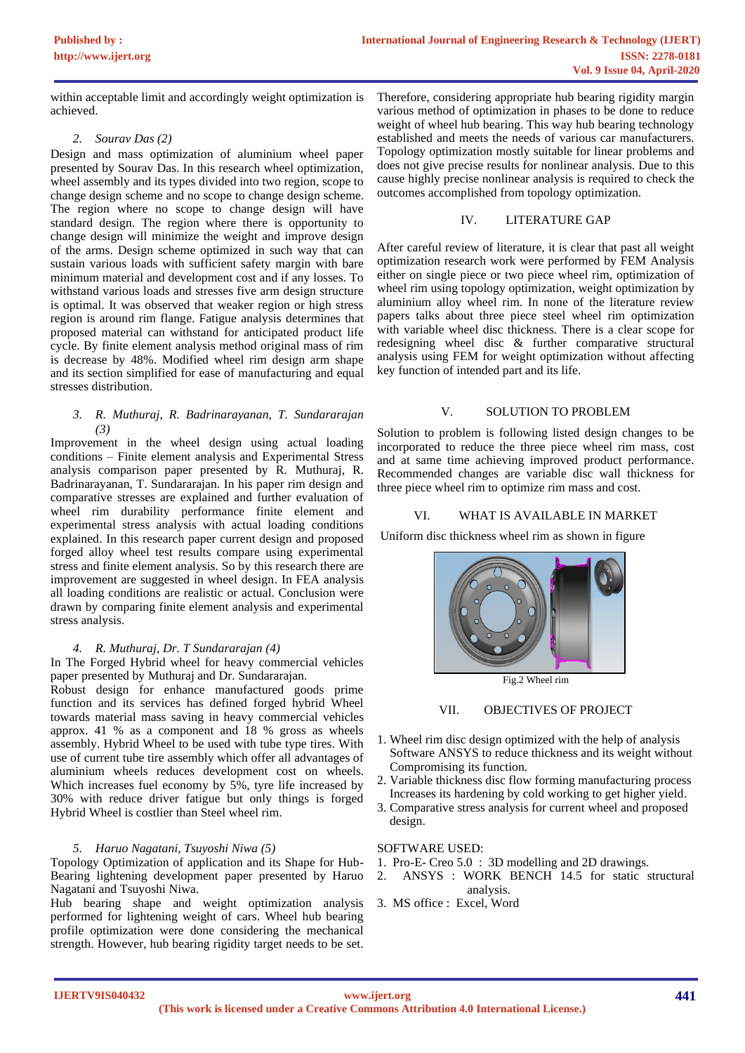within acceptable limit and accordingly weight optimization is achieved.

## *2. Sourav Das (2)*

Design and mass optimization of aluminium wheel paper presented by Sourav Das. In this research wheel optimization, wheel assembly and its types divided into two region, scope to change design scheme and no scope to change design scheme. The region where no scope to change design will have standard design. The region where there is opportunity to change design will minimize the weight and improve design of the arms. Design scheme optimized in such way that can sustain various loads with sufficient safety margin with bare minimum material and development cost and if any losses. To withstand various loads and stresses five arm design structure is optimal. It was observed that weaker region or high stress region is around rim flange. Fatigue analysis determines that proposed material can withstand for anticipated product life cycle. By finite element analysis method original mass of rim is decrease by 48%. Modified wheel rim design arm shape and its section simplified for ease of manufacturing and equal stresses distribution.

## *3. R. Muthuraj, R. Badrinarayanan, T. Sundararajan (3)*

Improvement in the wheel design using actual loading conditions – Finite element analysis and Experimental Stress analysis comparison paper presented by R. Muthuraj, R. Badrinarayanan, T. Sundararajan. In his paper rim design and comparative stresses are explained and further evaluation of wheel rim durability performance finite element and experimental stress analysis with actual loading conditions explained. In this research paper current design and proposed forged alloy wheel test results compare using experimental stress and finite element analysis. So by this research there are improvement are suggested in wheel design. In FEA analysis all loading conditions are realistic or actual. Conclusion were drawn by comparing finite element analysis and experimental stress analysis.

#### *4. R. Muthuraj, Dr. T Sundararajan (4)*

In The Forged Hybrid wheel for heavy commercial vehicles paper presented by Muthuraj and Dr. Sundararajan.

Robust design for enhance manufactured goods prime function and its services has defined forged hybrid Wheel towards material mass saving in heavy commercial vehicles approx. 41 % as a component and 18 % gross as wheels assembly. Hybrid Wheel to be used with tube type tires. With use of current tube tire assembly which offer all advantages of aluminium wheels reduces development cost on wheels. Which increases fuel economy by 5%, tyre life increased by 30% with reduce driver fatigue but only things is forged Hybrid Wheel is costlier than Steel wheel rim.

# *5. Haruo Nagatani, Tsuyoshi Niwa (5)*

Topology Optimization of application and its Shape for Hub-Bearing lightening development paper presented by Haruo Nagatani and Tsuyoshi Niwa.

Hub bearing shape and weight optimization analysis performed for lightening weight of cars. Wheel hub bearing profile optimization were done considering the mechanical strength. However, hub bearing rigidity target needs to be set.

Therefore, considering appropriate hub bearing rigidity margin various method of optimization in phases to be done to reduce weight of wheel hub bearing. This way hub bearing technology established and meets the needs of various car manufacturers. Topology optimization mostly suitable for linear problems and does not give precise results for nonlinear analysis. Due to this cause highly precise nonlinear analysis is required to check the outcomes accomplished from topology optimization.

## IV. LITERATURE GAP

After careful review of literature, it is clear that past all weight optimization research work were performed by FEM Analysis either on single piece or two piece wheel rim, optimization of wheel rim using topology optimization, weight optimization by aluminium alloy wheel rim. In none of the literature review papers talks about three piece steel wheel rim optimization with variable wheel disc thickness. There is a clear scope for redesigning wheel disc & further comparative structural analysis using FEM for weight optimization without affecting key function of intended part and its life.

## V. SOLUTION TO PROBLEM

Solution to problem is following listed design changes to be incorporated to reduce the three piece wheel rim mass, cost and at same time achieving improved product performance. Recommended changes are variable disc wall thickness for three piece wheel rim to optimize rim mass and cost.

## VI. WHAT IS AVAILABLE IN MARKET

Uniform disc thickness wheel rim as shown in figure



Fig.2 Wheel rim

## VII. OBJECTIVES OF PROJECT

- 1. Wheel rim disc design optimized with the help of analysis Software ANSYS to reduce thickness and its weight without Compromising its function.
- 2. Variable thickness disc flow forming manufacturing process Increases its hardening by cold working to get higher yield.
- 3. Comparative stress analysis for current wheel and proposed design.

#### SOFTWARE USED:

- 1. Pro-E- Creo 5.0 : 3D modelling and 2D drawings.
- 2. ANSYS : WORK BENCH 14.5 for static structural analysis.
- 3. MS office : Excel, Word